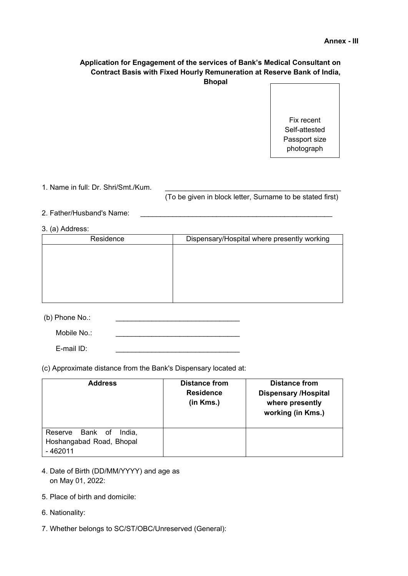# **Application for Engagement of the services of Bank's Medical Consultant on Contract Basis with Fixed Hourly Remuneration at Reserve Bank of India, Bhopal**

Fix recent Self-attested Passport size photograph

1. Name in full: Dr. Shri/Smt./Kum.

(To be given in block letter, Surname to be stated first)

- 2. Father/Husband's Name:
- 3. (a) Address:

| Residence | Dispensary/Hospital where presently working |
|-----------|---------------------------------------------|
|           |                                             |
|           |                                             |
|           |                                             |
|           |                                             |
|           |                                             |
|           |                                             |

 $(b)$  Phone No.:

Mobile No.:

E-mail ID:

(c) Approximate distance from the Bank's Dispensary located at:

| <b>Address</b>                                                    | <b>Distance from</b><br><b>Residence</b><br>(in Kms.) | <b>Distance from</b><br><b>Dispensary /Hospital</b><br>where presently<br>working (in Kms.) |
|-------------------------------------------------------------------|-------------------------------------------------------|---------------------------------------------------------------------------------------------|
| Reserve Bank of<br>India.<br>Hoshangabad Road, Bhopal<br>- 462011 |                                                       |                                                                                             |

- 4. Date of Birth (DD/MM/YYYY) and age as on May 01, 2022:
- 5. Place of birth and domicile:
- 6. Nationality:
- 7. Whether belongs to SC/ST/OBC/Unreserved (General):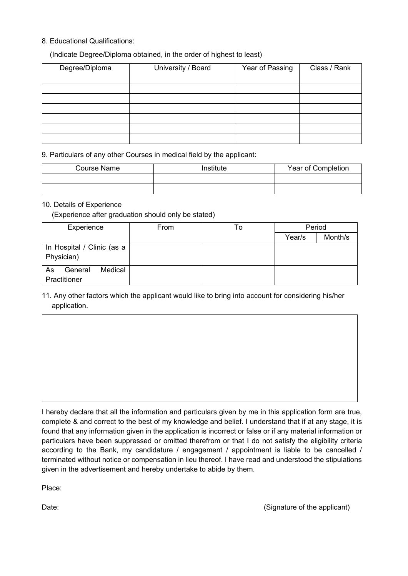# 8. Educational Qualifications:

## (Indicate Degree/Diploma obtained, in the order of highest to least)

| Degree/Diploma | University / Board | Year of Passing | Class / Rank |
|----------------|--------------------|-----------------|--------------|
|                |                    |                 |              |
|                |                    |                 |              |
|                |                    |                 |              |
|                |                    |                 |              |
|                |                    |                 |              |
|                |                    |                 |              |
|                |                    |                 |              |
|                |                    |                 |              |
|                |                    |                 |              |
|                |                    |                 |              |
|                |                    |                 |              |
|                |                    |                 |              |
|                |                    |                 |              |
|                |                    |                 |              |
|                |                    |                 |              |

9. Particulars of any other Courses in medical field by the applicant:

| <b>Course Name</b> | <i>Institute</i> | Year of Completion |  |
|--------------------|------------------|--------------------|--|
|                    |                  |                    |  |
|                    |                  |                    |  |

#### 10. Details of Experience

(Experience after graduation should only be stated)

| Experience                               | From | To | Period |         |
|------------------------------------------|------|----|--------|---------|
|                                          |      |    | Year/s | Month/s |
| In Hospital / Clinic (as a<br>Physician) |      |    |        |         |
| Medical<br>As<br>General<br>Practitioner |      |    |        |         |

# 11. Any other factors which the applicant would like to bring into account for considering his/her application.

I hereby declare that all the information and particulars given by me in this application form are true, complete & and correct to the best of my knowledge and belief. I understand that if at any stage, it is found that any information given in the application is incorrect or false or if any material information or particulars have been suppressed or omitted therefrom or that I do not satisfy the eligibility criteria according to the Bank, my candidature / engagement / appointment is liable to be cancelled / terminated without notice or compensation in lieu thereof. I have read and understood the stipulations given in the advertisement and hereby undertake to abide by them.

Place:

Date: Contract the applicant of the applicant of the applicant of the applicant of the applicant of the applicant of the applicant of the applicant of the applicant of the stretch of the stretch of the stretch of the stret